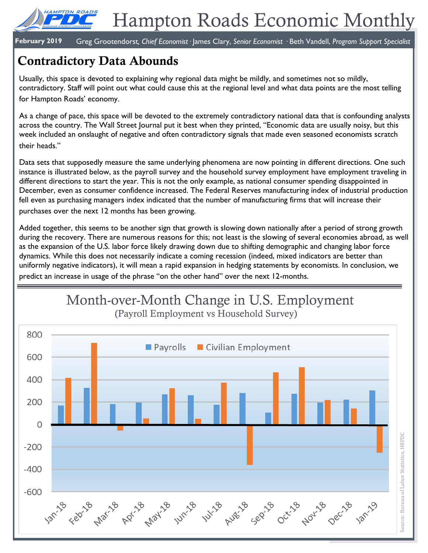

**February 2019** Greg Grootendorst*, Chief Economist·* James Clary, *Senior Economist ·* Beth Vandell, *Program Support Specialist*

# **Contradictory Data Abounds**

Usually, this space is devoted to explaining why regional data might be mildly, and sometimes not so mildly, contradictory. Staff will point out what could cause this at the regional level and what data points are the most telling for Hampton Roads' economy.

As a change of pace, this space will be devoted to the extremely contradictory national data that is confounding analysts across the country. The Wall Street Journal put it best when they printed, "Economic data are usually noisy, but this week included an onslaught of negative and often contradictory signals that made even seasoned economists scratch their heads."

Data sets that supposedly measure the same underlying phenomena are now pointing in different directions. One such instance is illustrated below, as the payroll survey and the household survey employment have employment traveling in different directions to start the year. This is not the only example, as national consumer spending disappointed in December, even as consumer confidence increased. The Federal Reserves manufacturing index of industrial production fell even as purchasing managers index indicated that the number of manufacturing firms that will increase their purchases over the next 12 months has been growing.

Added together, this seems to be another sign that growth is slowing down nationally after a period of strong growth during the recovery. There are numerous reasons for this; not least is the slowing of several economies abroad, as well as the expansion of the U.S. labor force likely drawing down due to shifting demographic and changing labor force dynamics. While this does not necessarily indicate a coming recession (indeed, mixed indicators are better than uniformly negative indicators), it will mean a rapid expansion in hedging statements by economists. In conclusion, we predict an increase in usage of the phrase "on the other hand" over the next 12-months.

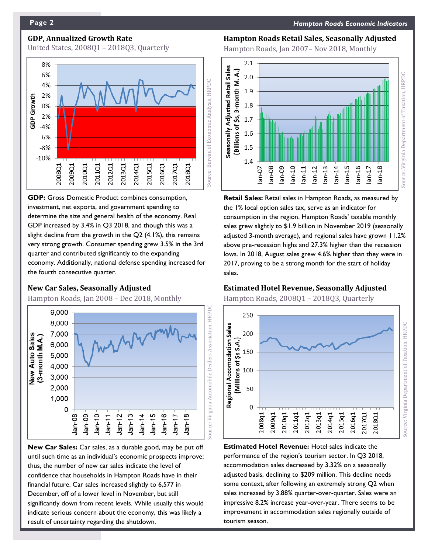# **GDP, Annualized Growth Rate**

United States, 2008Q1 – 2018Q3, Quarterly



**GDP:** Gross Domestic Product combines consumption, investment, net exports, and government spending to determine the size and general health of the economy. Real GDP increased by 3.4% in Q3 2018, and though this was a slight decline from the growth in the Q2 (4.1%), this remains very strong growth. Consumer spending grew 3.5% in the 3rd quarter and contributed significantly to the expanding economy. Additionally, national defense spending increased for the fourth consecutive quarter.

### **New Car Sales, Seasonally Adjusted**

Hampton Roads, Jan 2008 – Dec 2018, Monthly



**New Car Sales:** Car sales, as a durable good, may be put off until such time as an individual's economic prospects improve; thus, the number of new car sales indicate the level of confidence that households in Hampton Roads have in their financial future. Car sales increased slightly to 6,577 in December, off of a lower level in November, but still significantly down from recent levels. While usually this would indicate serious concern about the economy, this was likely a result of uncertainty regarding the shutdown.

# **Hampton Roads Retail Sales, Seasonally Adjusted**

Hampton Roads, Jan 2007– Nov 2018, Monthly



**Retail Sales:** Retail sales in Hampton Roads, as measured by the 1% local option sales tax, serve as an indicator for consumption in the region. Hampton Roads' taxable monthly sales grew slightly to \$1.9 billion in November 2019 (seasonally adjusted 3-month average), and regional sales have grown 11.2% above pre-recession highs and 27.3% higher than the recession lows. In 2018, August sales grew 4.6% higher than they were in 2017, proving to be a strong month for the start of holiday sales.

# **Estimated Hotel Revenue, Seasonally Adjusted**

Hampton Roads, 2008Q1 – 2018Q3, Quarterly



**Estimated Hotel Revenue:** Hotel sales indicate the performance of the region's tourism sector. In Q3 2018, accommodation sales decreased by 3.32% on a seasonally adjusted basis, declining to \$209 million. This decline needs some context, after following an extremely strong Q2 when sales increased by 3.88% quarter-over-quarter. Sales were an impressive 8.2% increase year-over-year. There seems to be improvement in accommodation sales regionally outside of tourism season.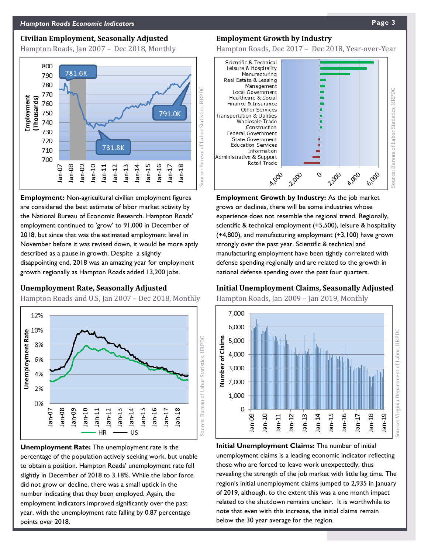### **Civilian Employment, Seasonally Adjusted**

Hampton Roads, Jan 2007 – Dec 2018, Monthly



**Employment:** Non-agricultural civilian employment figures are considered the best estimate of labor market activity by the National Bureau of Economic Research. Hampton Roads' employment continued to 'grow' to 91,000 in December of 2018, but since that was the estimated employment level in November before it was revised down, it would be more aptly described as a pause in growth. Despite a slightly disappointing end, 2018 was an amazing year for employment growth regionally as Hampton Roads added 13,200 jobs.

#### **Unemployment Rate, Seasonally Adjusted**

Hampton Roads and U.S, Jan 2007 – Dec 2018, Monthly



**Unemployment Rate:** The unemployment rate is the percentage of the population actively seeking work, but unable to obtain a position. Hampton Roads' unemployment rate fell slightly in December of 2018 to 3.18%. While the labor force did not grow or decline, there was a small uptick in the number indicating that they been employed. Again, the employment indicators improved significantly over the past year, with the unemployment rate falling by 0.87 percentage points over 2018.

#### **Employment Growth by Industry**

Hampton Roads, Dec 2017 – Dec 2018, Year-over-Year



**Employment Growth by Industry:** As the job market grows or declines, there will be some industries whose experience does not resemble the regional trend. Regionally, scientific & technical employment (+5,500), leisure & hospitality (+4,800), and manufacturing employment (+3,100) have grown strongly over the past year. Scientific & technical and manufacturing employment have been tightly correlated with defense spending regionally and are related to the growth in national defense spending over the past four quarters.

# **Initial Unemployment Claims, Seasonally Adjusted**

Hampton Roads, Jan 2009 – Jan 2019, Monthly



**Initial Unemployment Claims:** The number of initial unemployment claims is a leading economic indicator reflecting those who are forced to leave work unexpectedly, thus revealing the strength of the job market with little lag time. The region's initial unemployment claims jumped to 2,935 in January of 2019, although, to the extent this was a one month impact related to the shutdown remains unclear. It is worthwhile to note that even with this increase, the initial claims remain below the 30 year average for the region.